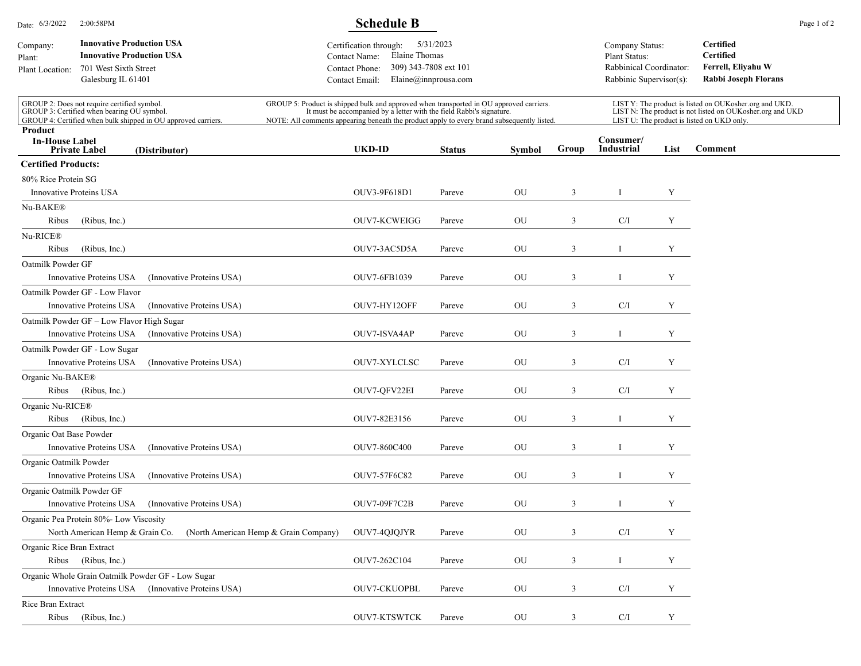| Date: 6/3/2022<br>2:00:58PM                                                                                                                                |                                                                                                                     | <b>Schedule B</b>                                                                                                                                                                                                                                             |                                       |                                                                                                                                                            |               |               |                                                                                                                                                                   |                                                                                        |      | Page 1 of 2                                                                 |  |
|------------------------------------------------------------------------------------------------------------------------------------------------------------|---------------------------------------------------------------------------------------------------------------------|---------------------------------------------------------------------------------------------------------------------------------------------------------------------------------------------------------------------------------------------------------------|---------------------------------------|------------------------------------------------------------------------------------------------------------------------------------------------------------|---------------|---------------|-------------------------------------------------------------------------------------------------------------------------------------------------------------------|----------------------------------------------------------------------------------------|------|-----------------------------------------------------------------------------|--|
| Company:<br>Plant:<br>Plant Location:                                                                                                                      | <b>Innovative Production USA</b><br><b>Innovative Production USA</b><br>701 West Sixth Street<br>Galesburg IL 61401 |                                                                                                                                                                                                                                                               |                                       | 5/31/2023<br>Certification through:<br>Elaine Thomas<br>Contact Name:<br>309) 343-7808 ext 101<br>Contact Phone:<br>Elaine@innprousa.com<br>Contact Email: |               |               |                                                                                                                                                                   | Company Status:<br>Plant Status:<br>Rabbinical Coordinator:<br>Rabbinic Supervisor(s): |      | Certified<br><b>Certified</b><br>Ferrell, Eliyahu W<br>Rabbi Joseph Florans |  |
| GROUP 2: Does not require certified symbol.<br>GROUP 3: Certified when bearing OU symbol.<br>GROUP 4: Certified when bulk shipped in OU approved carriers. |                                                                                                                     | GROUP 5: Product is shipped bulk and approved when transported in OU approved carriers.<br>It must be accompanied by a letter with the field Rabbi's signature.<br>NOTE: All comments appearing beneath the product apply to every brand subsequently listed. |                                       |                                                                                                                                                            |               |               | LIST Y: The product is listed on OUKosher.org and UKD.<br>LIST N: The product is not listed on OUKosher.org and UKD<br>LIST U: The product is listed on UKD only. |                                                                                        |      |                                                                             |  |
| Product<br><b>In-House Label</b>                                                                                                                           | <b>Private Label</b>                                                                                                | (Distributor)                                                                                                                                                                                                                                                 |                                       | <b>UKD-ID</b>                                                                                                                                              | <b>Status</b> | <b>Symbol</b> | Group                                                                                                                                                             | Consumer/<br><b>Industrial</b>                                                         | List | Comment                                                                     |  |
| <b>Certified Products:</b>                                                                                                                                 |                                                                                                                     |                                                                                                                                                                                                                                                               |                                       |                                                                                                                                                            |               |               |                                                                                                                                                                   |                                                                                        |      |                                                                             |  |
| 80% Rice Protein SG                                                                                                                                        |                                                                                                                     |                                                                                                                                                                                                                                                               |                                       |                                                                                                                                                            |               |               |                                                                                                                                                                   |                                                                                        |      |                                                                             |  |
| <b>Innovative Proteins USA</b>                                                                                                                             |                                                                                                                     |                                                                                                                                                                                                                                                               |                                       | OUV3-9F618D1                                                                                                                                               | Pareve        | OU            | 3                                                                                                                                                                 | $\bf{I}$                                                                               | Y    |                                                                             |  |
| Nu-BAKE®<br>Ribus                                                                                                                                          | (Ribus, Inc.)                                                                                                       |                                                                                                                                                                                                                                                               |                                       | OUV7-KCWEIGG                                                                                                                                               | Pareve        | OU            | 3                                                                                                                                                                 | C/I                                                                                    | Y    |                                                                             |  |
| Nu-RICE®                                                                                                                                                   |                                                                                                                     |                                                                                                                                                                                                                                                               |                                       |                                                                                                                                                            |               |               |                                                                                                                                                                   |                                                                                        |      |                                                                             |  |
| Ribus                                                                                                                                                      | (Ribus, Inc.)                                                                                                       |                                                                                                                                                                                                                                                               |                                       | OUV7-3AC5D5A                                                                                                                                               | Pareve        | OU            | 3                                                                                                                                                                 |                                                                                        | Y    |                                                                             |  |
| Oatmilk Powder GF                                                                                                                                          |                                                                                                                     |                                                                                                                                                                                                                                                               |                                       |                                                                                                                                                            |               |               |                                                                                                                                                                   |                                                                                        |      |                                                                             |  |
|                                                                                                                                                            | Innovative Proteins USA                                                                                             | (Innovative Proteins USA)                                                                                                                                                                                                                                     |                                       | OUV7-6FB1039                                                                                                                                               | Pareve        | OU            | 3                                                                                                                                                                 | I                                                                                      | Y    |                                                                             |  |
|                                                                                                                                                            | Oatmilk Powder GF - Low Flavor                                                                                      |                                                                                                                                                                                                                                                               |                                       |                                                                                                                                                            |               |               |                                                                                                                                                                   |                                                                                        |      |                                                                             |  |
|                                                                                                                                                            | Innovative Proteins USA                                                                                             | (Innovative Proteins USA)                                                                                                                                                                                                                                     |                                       | OUV7-HY12OFF                                                                                                                                               | Pareve        | OU            | 3                                                                                                                                                                 | C/I                                                                                    | Y    |                                                                             |  |
|                                                                                                                                                            | Oatmilk Powder GF – Low Flavor High Sugar<br>Innovative Proteins USA                                                | (Innovative Proteins USA)                                                                                                                                                                                                                                     |                                       | <b>OUV7-ISVA4AP</b>                                                                                                                                        | Pareve        | OU            | 3                                                                                                                                                                 |                                                                                        | Y    |                                                                             |  |
|                                                                                                                                                            | Oatmilk Powder GF - Low Sugar                                                                                       |                                                                                                                                                                                                                                                               |                                       |                                                                                                                                                            |               |               |                                                                                                                                                                   |                                                                                        |      |                                                                             |  |
|                                                                                                                                                            | Innovative Proteins USA                                                                                             | (Innovative Proteins USA)                                                                                                                                                                                                                                     |                                       | OUV7-XYLCLSC                                                                                                                                               | Pareve        | OU            | 3                                                                                                                                                                 | C/I                                                                                    | Y    |                                                                             |  |
| Organic Nu-BAKE®                                                                                                                                           |                                                                                                                     |                                                                                                                                                                                                                                                               |                                       |                                                                                                                                                            |               |               |                                                                                                                                                                   |                                                                                        |      |                                                                             |  |
| Ribus                                                                                                                                                      | (Ribus, Inc.)                                                                                                       |                                                                                                                                                                                                                                                               |                                       | OUV7-QFV22EI                                                                                                                                               | Pareve        | OU            | 3                                                                                                                                                                 | C/I                                                                                    | Y    |                                                                             |  |
| Organic Nu-RICE®                                                                                                                                           |                                                                                                                     |                                                                                                                                                                                                                                                               |                                       |                                                                                                                                                            |               |               |                                                                                                                                                                   |                                                                                        |      |                                                                             |  |
| Ribus                                                                                                                                                      | (Ribus, Inc.)                                                                                                       |                                                                                                                                                                                                                                                               |                                       | OUV7-82E3156                                                                                                                                               | Pareve        | OU            | 3                                                                                                                                                                 |                                                                                        | Y    |                                                                             |  |
| Organic Oat Base Powder                                                                                                                                    |                                                                                                                     |                                                                                                                                                                                                                                                               |                                       |                                                                                                                                                            |               |               |                                                                                                                                                                   |                                                                                        |      |                                                                             |  |
|                                                                                                                                                            | Innovative Proteins USA                                                                                             | (Innovative Proteins USA)                                                                                                                                                                                                                                     |                                       | OUV7-860C400                                                                                                                                               | Pareve        | OU            | 3                                                                                                                                                                 | I                                                                                      | Y    |                                                                             |  |
| Organic Oatmilk Powder                                                                                                                                     |                                                                                                                     |                                                                                                                                                                                                                                                               |                                       |                                                                                                                                                            |               |               |                                                                                                                                                                   |                                                                                        |      |                                                                             |  |
|                                                                                                                                                            | Innovative Proteins USA                                                                                             | (Innovative Proteins USA)                                                                                                                                                                                                                                     |                                       | OUV7-57F6C82                                                                                                                                               | Pareve        | OU            | 3                                                                                                                                                                 |                                                                                        | Y    |                                                                             |  |
| Organic Oatmilk Powder GF                                                                                                                                  |                                                                                                                     | Innovative Proteins USA (Innovative Proteins USA)                                                                                                                                                                                                             |                                       | OUV7-09F7C2B                                                                                                                                               | Pareve        | OU            | 3                                                                                                                                                                 | $\perp$                                                                                | Y    |                                                                             |  |
|                                                                                                                                                            | Organic Pea Protein 80%- Low Viscosity                                                                              |                                                                                                                                                                                                                                                               |                                       |                                                                                                                                                            |               |               |                                                                                                                                                                   |                                                                                        |      |                                                                             |  |
|                                                                                                                                                            | North American Hemp & Grain Co.                                                                                     |                                                                                                                                                                                                                                                               | (North American Hemp & Grain Company) | OUV7-4OJOJYR                                                                                                                                               | Pareve        | ${\rm OU}$    | 3                                                                                                                                                                 | C/I                                                                                    | Y    |                                                                             |  |
| Organic Rice Bran Extract                                                                                                                                  |                                                                                                                     |                                                                                                                                                                                                                                                               |                                       |                                                                                                                                                            |               |               |                                                                                                                                                                   |                                                                                        |      |                                                                             |  |
|                                                                                                                                                            | Ribus (Ribus, Inc.)                                                                                                 |                                                                                                                                                                                                                                                               |                                       | OUV7-262C104                                                                                                                                               | Pareve        | OU            | 3                                                                                                                                                                 | $\bf{I}$                                                                               | Y    |                                                                             |  |
|                                                                                                                                                            |                                                                                                                     | Organic Whole Grain Oatmilk Powder GF - Low Sugar                                                                                                                                                                                                             |                                       |                                                                                                                                                            |               |               |                                                                                                                                                                   |                                                                                        |      |                                                                             |  |
|                                                                                                                                                            |                                                                                                                     | Innovative Proteins USA (Innovative Proteins USA)                                                                                                                                                                                                             |                                       | <b>OUV7-CKUOPBL</b>                                                                                                                                        | Pareve        | OU            | 3                                                                                                                                                                 | C/I                                                                                    | Y    |                                                                             |  |
| Rice Bran Extract                                                                                                                                          |                                                                                                                     |                                                                                                                                                                                                                                                               |                                       |                                                                                                                                                            |               |               |                                                                                                                                                                   |                                                                                        |      |                                                                             |  |
| Ribus                                                                                                                                                      | (Ribus, Inc.)                                                                                                       |                                                                                                                                                                                                                                                               |                                       | <b>OUV7-KTSWTCK</b>                                                                                                                                        | Pareve        | OU            | 3                                                                                                                                                                 | C/I                                                                                    | Y    |                                                                             |  |